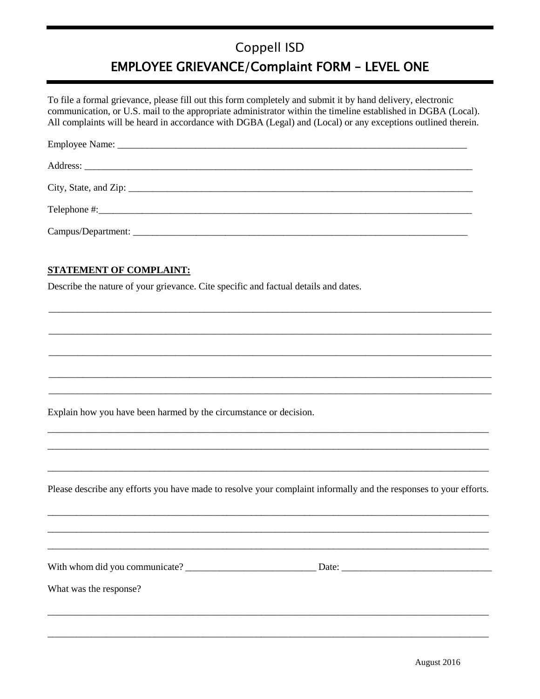## Coppell ISD **EMPLOYEE GRIEVANCE/Complaint FORM - LEVEL ONE**

To file a formal grievance, please fill out this form completely and submit it by hand delivery, electronic communication, or U.S. mail to the appropriate administrator within the timeline established in DGBA (Local). All complaints will be heard in accordance with DGBA (Legal) and (Local) or any exceptions outlined therein.

| City, State, and Zip: $\frac{1}{2}$ and Zip: $\frac{1}{2}$ and Zip: $\frac{1}{2}$ and Zip: $\frac{1}{2}$ and $\frac{1}{2}$ and $\frac{1}{2}$ and $\frac{1}{2}$ and $\frac{1}{2}$ and $\frac{1}{2}$ and $\frac{1}{2}$ and $\frac{1}{2}$ and $\frac{1}{2}$ and $\frac{1}{2}$ and $\$ |  |
|------------------------------------------------------------------------------------------------------------------------------------------------------------------------------------------------------------------------------------------------------------------------------------|--|
|                                                                                                                                                                                                                                                                                    |  |
|                                                                                                                                                                                                                                                                                    |  |

## **STATEMENT OF COMPLAINT:**

Describe the nature of your grievance. Cite specific and factual details and dates.

Explain how you have been harmed by the circumstance or decision.

Please describe any efforts you have made to resolve your complaint informally and the responses to your efforts.

With whom did you communicate? Date: Date:

What was the response?